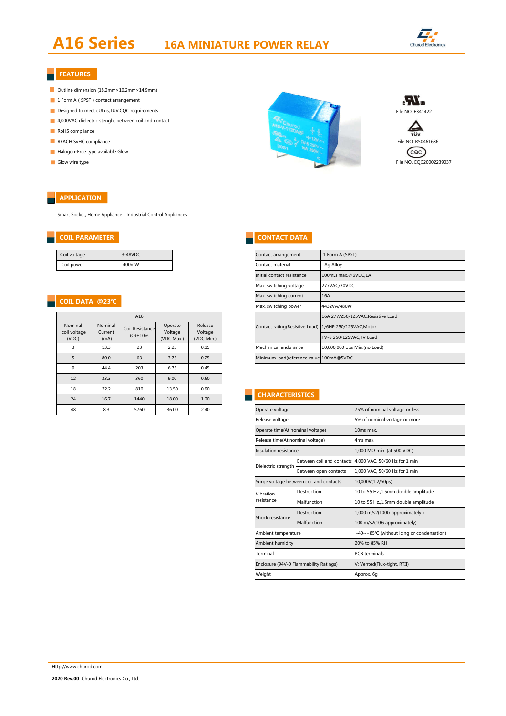## **A16 Series 16A MINIATURE POWER RELAY**



#### **FEATURES**

- Outline dimension (18.2mm×10.2mm×14.9mm)
- 1 Form A (SPST) contact arrangement
- 
- 4,000VAC dielectric stenght between coil and contact
- RoHS compliance
- 
- Halogen-Free type available Glow
- 

÷,

#### **APPLICATION**

Smart Socket, Home Appliance, Industrial Control Appliances

#### **COIL DATA @23℃**

| A16                              |                            |                                        |                                  |                                  |  |  |  |
|----------------------------------|----------------------------|----------------------------------------|----------------------------------|----------------------------------|--|--|--|
| Nominal<br>coil voltage<br>(VDC) | Nominal<br>Current<br>(mA) | Coil Resistance<br>$(\Omega) \pm 10\%$ | Operate<br>Voltage<br>(VDC Max.) | Release<br>Voltage<br>(VDC Min.) |  |  |  |
| 3                                | 13.3                       | 23                                     | 2.25                             | 0.15                             |  |  |  |
| 5                                | 80.0                       | 63                                     | 3.75                             | 0.25                             |  |  |  |
| 9                                | 44.4                       | 203                                    | 6.75                             | 0.45                             |  |  |  |
| 12                               | 33.3                       | 360                                    | 9.00                             | 0.60                             |  |  |  |
| 18                               | 22.2                       | 810                                    | 13.50                            | 0.90                             |  |  |  |
| 24                               | 16.7                       | 1440                                   | 18.00                            | 1.20                             |  |  |  |
| 48                               | 8.3                        | 5760                                   | 36.00                            | 2.40                             |  |  |  |

# Designed to meet cULus,TUV,CQC requirements File NO. E341422 **REACH SvHC compliance** File NO. R50461636 Glow wire type File NO. CQC20002239037



#### **COIL PARAMETER CONTACT DATA**

| Contact arrangement                      | 1 Form A (SPST)                   |  |  |  |
|------------------------------------------|-----------------------------------|--|--|--|
| Contact material                         | Ag Alloy                          |  |  |  |
| Initial contact resistance               | 100mΩ max.@6VDC,1A                |  |  |  |
| Max. switching voltage                   | 277VAC/30VDC                      |  |  |  |
| Max. switching current                   | 16A                               |  |  |  |
| Max. switching power                     | 4432VA/480W                       |  |  |  |
|                                          | 16A 277/250/125VAC.Resistive Load |  |  |  |
| Contact rating(Resistive Load)           | 1/6HP 250/125VAC, Motor           |  |  |  |
|                                          | TV-8 250/125VAC, TV Load          |  |  |  |
| Mechanical endurance                     | 10,000,000 ops Min.(no Load)      |  |  |  |
| Minimum load(reference value) 100mA@5VDC |                                   |  |  |  |

#### **CHARACTERISTICS**

| Operate voltage                  |                                         | 75% of nominal voltage or less                          |  |  |  |  |
|----------------------------------|-----------------------------------------|---------------------------------------------------------|--|--|--|--|
| Release voltage                  |                                         | 5% of nominal voltage or more                           |  |  |  |  |
| Operate time(At nominal voltage) |                                         | 10ms max.                                               |  |  |  |  |
| Release time(At nominal voltage) |                                         | 4ms max.                                                |  |  |  |  |
| Insulation resistance            |                                         | $1,000$ M $\Omega$ min. (at 500 VDC)                    |  |  |  |  |
| Dielectric strength              |                                         | Between coil and contacts 4,000 VAC, 50/60 Hz for 1 min |  |  |  |  |
|                                  | Between open contacts                   | 1,000 VAC, 50/60 Hz for 1 min                           |  |  |  |  |
|                                  | Surge voltage between coil and contacts | 10,000V(1.2/50µs)                                       |  |  |  |  |
| Vihration                        | Destruction                             | 10 to 55 Hz.,1.5mm double amplitude                     |  |  |  |  |
| resistance                       | Malfunction                             | 10 to 55 Hz., 1.5mm double amplitude                    |  |  |  |  |
| Shock resistance                 | Destruction                             | 1,000 m/s2(100G approximately)                          |  |  |  |  |
|                                  | Malfunction                             | 100 m/s2(10G approximately)                             |  |  |  |  |
| Ambient temperature              |                                         | -40~+85°C (without icing or condensation)               |  |  |  |  |
| Ambient humidity                 |                                         | 20% to 85% RH                                           |  |  |  |  |
| Terminal                         |                                         | <b>PCB</b> terminals                                    |  |  |  |  |
|                                  | Enclosure (94V-0 Flammability Ratings)  | V: Vented(Flux-tight, RTII)                             |  |  |  |  |
| Weight                           |                                         | Approx. 6q                                              |  |  |  |  |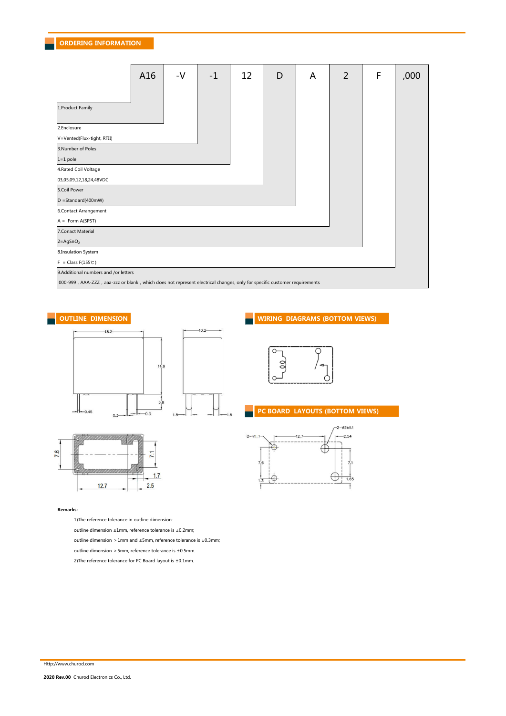|                                                                                                                          | A16 | $-V$ | $-1$ | 12 | D | A | $\overline{2}$ | F | ,000 |
|--------------------------------------------------------------------------------------------------------------------------|-----|------|------|----|---|---|----------------|---|------|
| 1. Product Family                                                                                                        |     |      |      |    |   |   |                |   |      |
| 2.Enclosure                                                                                                              |     |      |      |    |   |   |                |   |      |
| V=Vented(Flux-tight, RTII)                                                                                               |     |      |      |    |   |   |                |   |      |
| 3.Number of Poles                                                                                                        |     |      |      |    |   |   |                |   |      |
| $1=1$ pole                                                                                                               |     |      |      |    |   |   |                |   |      |
| 4.Rated Coil Voltage                                                                                                     |     |      |      |    |   |   |                |   |      |
| 03,05,09,12,18,24,48VDC                                                                                                  |     |      |      |    |   |   |                |   |      |
| 5.Coil Power                                                                                                             |     |      |      |    |   |   |                |   |      |
| $D = Standard(400mW)$                                                                                                    |     |      |      |    |   |   |                |   |      |
| 6.Contact Arrangement                                                                                                    |     |      |      |    |   |   |                |   |      |
| $A = Form A(SPST)$                                                                                                       |     |      |      |    |   |   |                |   |      |
| 7. Conact Material                                                                                                       |     |      |      |    |   |   |                |   |      |
| $2 = AgSnO2$                                                                                                             |     |      |      |    |   |   |                |   |      |
| 8.Insulation System                                                                                                      |     |      |      |    |   |   |                |   |      |
| $F = Class F(155C)$                                                                                                      |     |      |      |    |   |   |                |   |      |
| 9.Additional numbers and /or letters                                                                                     |     |      |      |    |   |   |                |   |      |
| 000-999, AAA-ZZZ, aaa-zzz or blank, which does not represent electrical changes, only for specific customer requirements |     |      |      |    |   |   |                |   |      |





#### **Remarks:**

1)The reference tolerance in outline dimension:

outline dimension ≤1mm, reference tolerance is ±0.2mm;

outline dimension >1mm and ≤5mm, reference tolerance is ±0.3mm;

outline dimension  $>5$ mm, reference tolerance is  $\pm 0.5$ mm.

2)The reference tolerance for PC Board layout is ±0.1mm.



#### **PC BOARD LAYOUTS (BOTTOM VIEWS)**